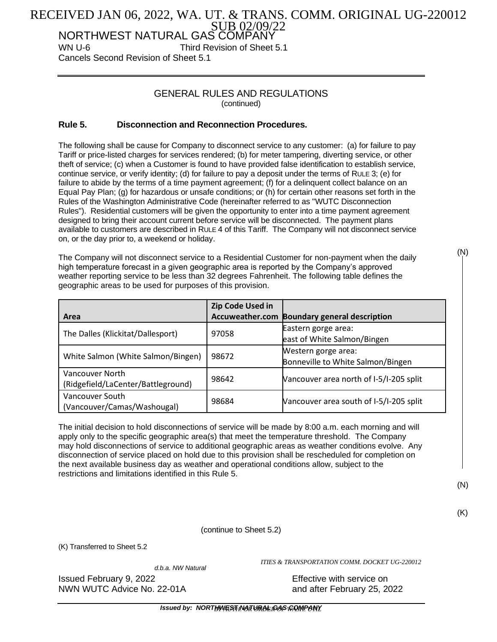## SUB 02/09/22 RECEIVED JAN 06, 2022, WA. UT. & TRANS. COMM. ORIGINAL UG-220012

NORTHWEST NATURAL GAS COMPANY WN U-6 Third Revision of Sheet 5.1

Cancels Second Revision of Sheet 5.1

## GENERAL RULES AND REGULATIONS (continued)

## **Rule 5. Disconnection and Reconnection Procedures.**

The following shall be cause for Company to disconnect service to any customer: (a) for failure to pay Tariff or price-listed charges for services rendered; (b) for meter tampering, diverting service, or other theft of service; (c) when a Customer is found to have provided false identification to establish service, continue service, or verify identity; (d) for failure to pay a deposit under the terms of RULE 3; (e) for failure to abide by the terms of a time payment agreement; (f) for a delinquent collect balance on an Equal Pay Plan; (g) for hazardous or unsafe conditions; or (h) for certain other reasons set forth in the Rules of the Washington Administrative Code (hereinafter referred to as "WUTC Disconnection Rules"). Residential customers will be given the opportunity to enter into a time payment agreement designed to bring their account current before service will be disconnected. The payment plans available to customers are described in RULE 4 of this Tariff. The Company will not disconnect service on, or the day prior to, a weekend or holiday.

The Company will not disconnect service to a Residential Customer for non-payment when the daily high temperature forecast in a given geographic area is reported by the Company's approved weather reporting service to be less than 32 degrees Fahrenheit. The following table defines the geographic areas to be used for purposes of this provision.

|                                    | Zip Code Used in |                                         |
|------------------------------------|------------------|-----------------------------------------|
| Area                               | Accuweather.com  | <b>Boundary general description</b>     |
| The Dalles (Klickitat/Dallesport)  | 97058            | Eastern gorge area:                     |
|                                    |                  | east of White Salmon/Bingen             |
|                                    |                  | Western gorge area:                     |
| White Salmon (White Salmon/Bingen) | 98672            | Bonneville to White Salmon/Bingen       |
| <b>Vancouver North</b>             | 98642            | Vancouver area north of I-5/I-205 split |
| (Ridgefield/LaCenter/Battleground) |                  |                                         |
| Vancouver South                    | 98684            | Vancouver area south of I-5/I-205 split |
| (Vancouver/Camas/Washougal)        |                  |                                         |

The initial decision to hold disconnections of service will be made by 8:00 a.m. each morning and will apply only to the specific geographic area(s) that meet the temperature threshold. The Company may hold disconnections of service to additional geographic areas as weather conditions evolve. Any disconnection of service placed on hold due to this provision shall be rescheduled for completion on the next available business day as weather and operational conditions allow, subject to the restrictions and limitations identified in this Rule 5.

(N)

(N)

(K)

(continue to Sheet 5.2)

(K) Transferred to Sheet 5.2

*d.b.a. NW Natural*

*ITIES & TRANSPORTATION COMM. DOCKET UG-220012*

Issued February 9, 2022 **Effective with service on** 

NWN WUTC Advice No. 22-01A and after February 25, 2022

*Issued by: NORTHWEST NATURAL GAS COMPANY BY AUTH. OR ORDER OF WASH. UTIL*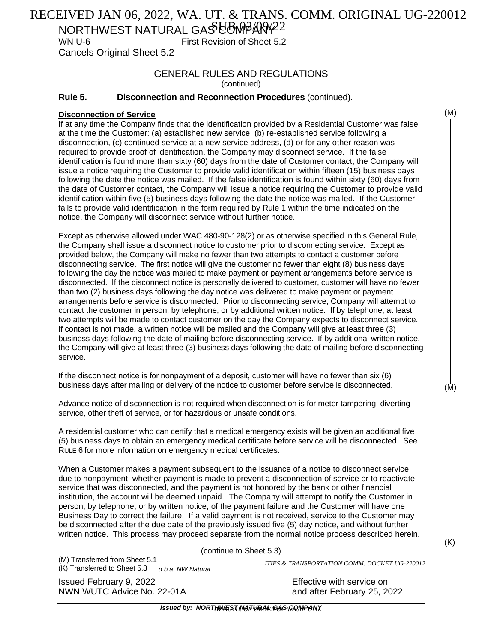# RECEIVED JAN 06, 2022, WA. UT. & TRANS. COMM. ORIGINAL UG-220012

NORTHWEST NATURAL GAS COMPARY 22 WN U-6 First Revision of Sheet 5.2

Cancels Original Sheet 5.2

## GENERAL RULES AND REGULATIONS (continued)

## **Rule 5. Disconnection and Reconnection Procedures** (continued).

## **Disconnection of Service**

If at any time the Company finds that the identification provided by a Residential Customer was false at the time the Customer: (a) established new service, (b) re-established service following a disconnection, (c) continued service at a new service address, (d) or for any other reason was required to provide proof of identification, the Company may disconnect service. If the false identification is found more than sixty (60) days from the date of Customer contact, the Company will issue a notice requiring the Customer to provide valid identification within fifteen (15) business days following the date the notice was mailed. If the false identification is found within sixty (60) days from the date of Customer contact, the Company will issue a notice requiring the Customer to provide valid identification within five (5) business days following the date the notice was mailed. If the Customer fails to provide valid identification in the form required by Rule 1 within the time indicated on the notice, the Company will disconnect service without further notice.

Except as otherwise allowed under WAC 480-90-128(2) or as otherwise specified in this General Rule, the Company shall issue a disconnect notice to customer prior to disconnecting service. Except as provided below, the Company will make no fewer than two attempts to contact a customer before disconnecting service. The first notice will give the customer no fewer than eight (8) business days following the day the notice was mailed to make payment or payment arrangements before service is disconnected. If the disconnect notice is personally delivered to customer, customer will have no fewer than two (2) business days following the day notice was delivered to make payment or payment arrangements before service is disconnected. Prior to disconnecting service, Company will attempt to contact the customer in person, by telephone, or by additional written notice. If by telephone, at least two attempts will be made to contact customer on the day the Company expects to disconnect service. If contact is not made, a written notice will be mailed and the Company will give at least three (3) business days following the date of mailing before disconnecting service. If by additional written notice, the Company will give at least three (3) business days following the date of mailing before disconnecting service.

If the disconnect notice is for nonpayment of a deposit, customer will have no fewer than six (6) business days after mailing or delivery of the notice to customer before service is disconnected.

Advance notice of disconnection is not required when disconnection is for meter tampering, diverting service, other theft of service, or for hazardous or unsafe conditions.

A residential customer who can certify that a medical emergency exists will be given an additional five (5) business days to obtain an emergency medical certificate before service will be disconnected. See RULE 6 for more information on emergency medical certificates.

When a Customer makes a payment subsequent to the issuance of a notice to disconnect service due to nonpayment, whether payment is made to prevent a disconnection of service or to reactivate service that was disconnected, and the payment is not honored by the bank or other financial institution, the account will be deemed unpaid. The Company will attempt to notify the Customer in person, by telephone, or by written notice, of the payment failure and the Customer will have one Business Day to correct the failure. If a valid payment is not received, service to the Customer may be disconnected after the due date of the previously issued five (5) day notice, and without further written notice. This process may proceed separate from the normal notice process described herein.

(continue to Sheet 5.3)

*d.b.a. NW Natural* (K) Transferred to Sheet 5.3 (M) Transferred from Sheet 5.1

Issued February 9, 2022 Effective with service on NWN WUTC Advice No. 22-01A and after February 25, 2022

*ITIES & TRANSPORTATION COMM. DOCKET UG-220012*

(M)

(M)

(K)